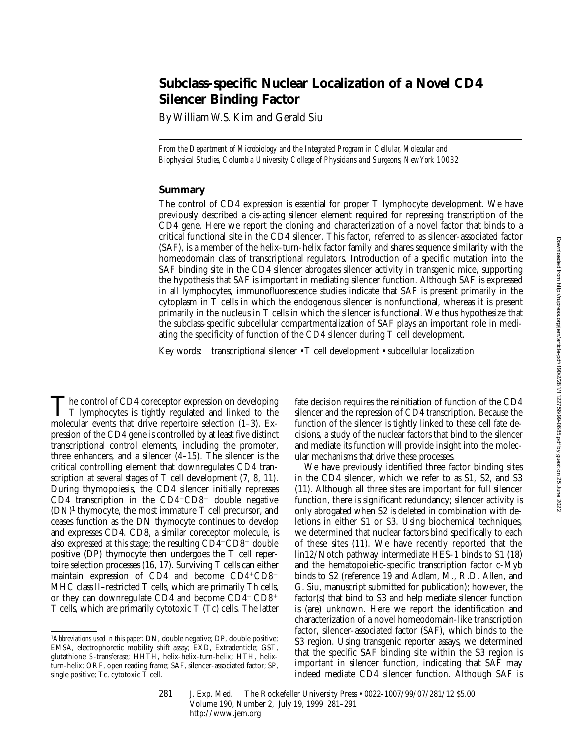# **Subclass-specific Nuclear Localization of a Novel CD4 Silencer Binding Factor**

By William W.S. Kim and Gerald Siu

*From the Department of Microbiology and the Integrated Program in Cellular, Molecular and Biophysical Studies, Columbia University College of Physicians and Surgeons, New York 10032*

## **Summary**

The control of CD4 expression is essential for proper T lymphocyte development. We have previously described a cis-acting silencer element required for repressing transcription of the CD4 gene. Here we report the cloning and characterization of a novel factor that binds to a critical functional site in the CD4 silencer. This factor, referred to as silencer-associated factor (SAF), is a member of the helix-turn-helix factor family and shares sequence similarity with the homeodomain class of transcriptional regulators. Introduction of a specific mutation into the SAF binding site in the CD4 silencer abrogates silencer activity in transgenic mice, supporting the hypothesis that SAF is important in mediating silencer function. Although SAF is expressed in all lymphocytes, immunofluorescence studies indicate that SAF is present primarily in the cytoplasm in T cells in which the endogenous silencer is nonfunctional, whereas it is present primarily in the nucleus in T cells in which the silencer is functional. We thus hypothesize that the subclass-specific subcellular compartmentalization of SAF plays an important role in mediating the specificity of function of the CD4 silencer during T cell development.

Key words: transcriptional silencer • T cell development • subcellular localization

 $\prod$  he control of CD4 coreceptor expression on developing  $\Gamma$  lymphocytes is tightly regulated and linked to the molecular events that drive repertoire selection (1–3). Expression of the CD4 gene is controlled by at least five distinct transcriptional control elements, including the promoter, three enhancers, and a silencer (4–15). The silencer is the critical controlling element that downregulates CD4 transcription at several stages of T cell development  $(7, 8, 11)$ . During thymopoiesis, the CD4 silencer initially represses CD4 transcription in the CD4 $-CD8$ <sup>-</sup> double negative  $(DN)^1$  thymocyte, the most immature T cell precursor, and ceases function as the DN thymocyte continues to develop and expresses CD4. CD8, a similar coreceptor molecule, is also expressed at this stage; the resulting  $CD4+CD8+$  double positive (DP) thymocyte then undergoes the T cell repertoire selection processes (16, 17). Surviving T cells can either maintain expression of CD4 and become  $CD4+CD8$ <sup>-</sup> MHC class II–restricted T cells, which are primarily Th cells, or they can downregulate CD4 and become  $CD4-CD8$ <sup>+</sup> T cells, which are primarily cytotoxic T (Tc) cells. The latter

fate decision requires the reinitiation of function of the CD4 silencer and the repression of CD4 transcription. Because the function of the silencer is tightly linked to these cell fate decisions, a study of the nuclear factors that bind to the silencer and mediate its function will provide insight into the molecular mechanisms that drive these processes.

We have previously identified three factor binding sites in the CD4 silencer, which we refer to as S1, S2, and S3 (11). Although all three sites are important for full silencer function, there is significant redundancy; silencer activity is only abrogated when S2 is deleted in combination with deletions in either S1 or S3. Using biochemical techniques, we determined that nuclear factors bind specifically to each of these sites (11). We have recently reported that the lin12/Notch pathway intermediate HES-1 binds to S1 (18) and the hematopoietic-specific transcription factor c-Myb binds to S2 (reference 19 and Adlam, M., R.D. Allen, and G. Siu, manuscript submitted for publication); however, the factor(s) that bind to S3 and help mediate silencer function is (are) unknown. Here we report the identification and characterization of a novel homeodomain-like transcription factor, silencer-associated factor (SAF), which binds to the S3 region. Using transgenic reporter assays, we determined that the specific SAF binding site within the S3 region is important in silencer function, indicating that SAF may indeed mediate CD4 silencer function. Although SAF is

281 J. Exp. Med. © The Rockefeller University Press • 0022-1007/99/07/281/12 \$5.00 Volume 190, Number 2, July 19, 1999 281–291 http://www.jem.org

<sup>1</sup>*Abbreviations used in this paper:* DN, double negative; DP, double positive; EMSA, electrophoretic mobility shift assay; EXD, Extradenticle; GST, glutathione *S*-transferase; HHTH, helix-helix-turn-helix; HTH, helixturn-helix; ORF, open reading frame; SAF, silencer-associated factor; SP, single positive; Tc, cytotoxic T cell.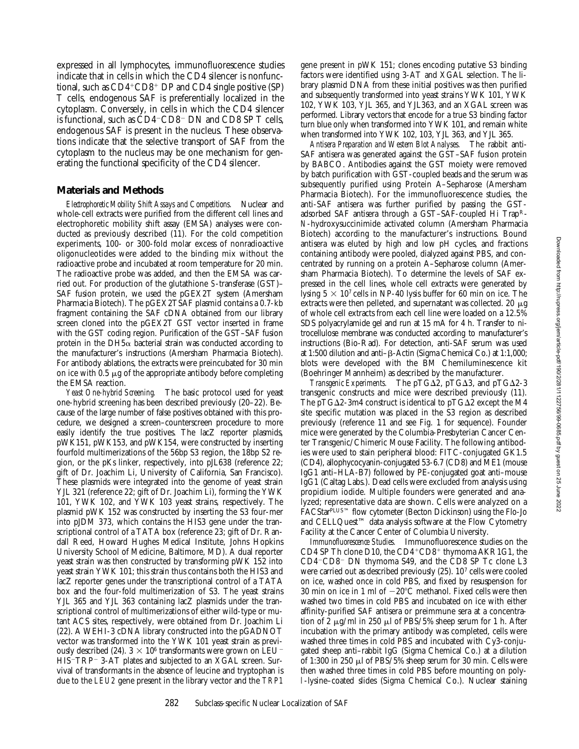expressed in all lymphocytes, immunofluorescence studies indicate that in cells in which the CD4 silencer is nonfunctional, such as  $CD4^+CD8^+$  DP and CD4 single positive (SP) T cells, endogenous SAF is preferentially localized in the cytoplasm. Conversely, in cells in which the CD4 silencer is functional, such as  $CD4$ <sup>-</sup> $CD8$ <sup>-</sup> $DN$  and  $CD8$  SP T cells, endogenous SAF is present in the nucleus. These observations indicate that the selective transport of SAF from the cytoplasm to the nucleus may be one mechanism for generating the functional specificity of the CD4 silencer.

#### **Materials and Methods**

*Electrophoretic Mobility Shift Assays and Competitions.* Nuclear and whole-cell extracts were purified from the different cell lines and electrophoretic mobility shift assay (EMSA) analyses were conducted as previously described (11). For the cold competition experiments, 100- or 300-fold molar excess of nonradioactive oligonucleotides were added to the binding mix without the radioactive probe and incubated at room temperature for 20 min. The radioactive probe was added, and then the EMSA was carried out. For production of the glutathione *S*-transferase (GST)– SAF fusion protein, we used the pGEX2T system (Amersham Pharmacia Biotech). The pGEX2TSAF plasmid contains a 0.7-kb fragment containing the SAF cDNA obtained from our library screen cloned into the pGEX2T GST vector inserted in frame with the GST coding region. Purification of the GST–SAF fusion protein in the DH5 $\alpha$  bacterial strain was conducted according to the manufacturer's instructions (Amersham Pharmacia Biotech). For antibody ablations, the extracts were preincubated for 30 min on ice with  $0.5 \mu$ g of the appropriate antibody before completing the EMSA reaction.

*Yeast One-hybrid Screening.* The basic protocol used for yeast one-hybrid screening has been described previously (20–22). Because of the large number of false positives obtained with this procedure, we designed a screen–counterscreen procedure to more easily identify the true positives. The lacZ reporter plasmids, pWK151, pWK153, and pWK154, were constructed by inserting fourfold multimerizations of the 56bp S3 region, the 18bp S2 region, or the pKs linker, respectively, into pJL638 (reference 22; gift of Dr. Joachim Li, University of California, San Francisco). These plasmids were integrated into the genome of yeast strain YJL 321 (reference 22; gift of Dr. Joachim Li), forming the YWK 101, YWK 102, and YWK 103 yeast strains, respectively. The plasmid pWK 152 was constructed by inserting the S3 four-mer into pJDM 373, which contains the HIS3 gene under the transcriptional control of a TATA box (reference 23; gift of Dr. Randall Reed, Howard Hughes Medical Institute, Johns Hopkins University School of Medicine, Baltimore, MD). A dual reporter yeast strain was then constructed by transforming pWK 152 into yeast strain YWK 101; this strain thus contains both the HIS3 and lacZ reporter genes under the transcriptional control of a TATA box and the four-fold multimerization of S3. The yeast strains YJL 365 and YJL 363 containing lacZ plasmids under the transcriptional control of multimerizations of either wild-type or mutant ACS sites, respectively, were obtained from Dr. Joachim Li (22). A WEHI-3 cDNA library constructed into the pGADNOT vector was transformed into the YWK 101 yeast strain as previously described (24).  $3 \times 10^6$  transformants were grown on LEU<sup>-</sup> HIS<sup>-</sup>TRP<sup>-</sup> 3-AT plates and subjected to an XGAL screen. Survival of transformants in the absence of leucine and tryptophan is due to the *LEU2* gene present in the library vector and the *TRP1*

gene present in pWK 151; clones encoding putative S3 binding factors were identified using 3-AT and XGAL selection. The library plasmid DNA from these initial positives was then purified and subsequently transformed into yeast strains YWK 101, YWK 102, YWK 103, YJL 365, and YJL363, and an XGAL screen was performed. Library vectors that encode for a true S3 binding factor turn blue only when transformed into YWK 101, and remain white when transformed into YWK 102, 103, YJL 363, and YJL 365.

*Antisera Preparation and Western Blot Analyses.* The rabbit anti-SAF antisera was generated against the GST–SAF fusion protein by BABCO. Antibodies against the GST moiety were removed by batch purification with GST-coupled beads and the serum was subsequently purified using Protein A–Sepharose (Amersham Pharmacia Biotech). For the immunofluorescence studies, the anti-SAF antisera was further purified by passing the GSTadsorbed SAF antisera through a GST–SAF-coupled Hi TrapR-*N*-hydroxysuccinimide activated column (Amersham Pharmacia Biotech) according to the manufacturer's instructions. Bound antisera was eluted by high and low pH cycles, and fractions containing antibody were pooled, dialyzed against PBS, and concentrated by running on a protein A–Sepharose column (Amersham Pharmacia Biotech). To determine the levels of SAF expressed in the cell lines, whole cell extracts were generated by lysing  $5 \times 10^7$  cells in NP-40 lysis buffer for 60 min on ice. The extracts were then pelleted, and supernatant was collected. 20  $\mu$ g of whole cell extracts from each cell line were loaded on a 12.5% SDS polyacrylamide gel and run at 15 mA for 4 h. Transfer to nitrocellulose membrane was conducted according to manufacturer's instructions (Bio-Rad). For detection, anti-SAF serum was used at 1:500 dilution and anti-β-Actin (Sigma Chemical Co.) at 1:1,000; blots were developed with the BM Chemiluminescence kit (Boehringer Mannheim) as described by the manufacturer.

*Transgenic Experiments.* The pTG $\Delta$ 2, pTG $\Delta$ 3, and pTG $\Delta$ 2-3 transgenic constructs and mice were described previously (11). The pTG $\Delta$ 2-3m4 construct is identical to pTG $\Delta$ 2 except the M4 site specific mutation was placed in the S3 region as described previously (reference 11 and see Fig. 1 for sequence). Founder mice were generated by the Columbia-Presbyterian Cancer Center Transgenic/Chimeric Mouse Facility. The following antibodies were used to stain peripheral blood: FITC-conjugated GK1.5 (CD4), allophycocyanin-conjugated 53-6.7 (CD8) and ME1 (mouse IgG1 anti–HLA-B7) followed by PE-conjugated goat anti–mouse IgG1 (Caltag Labs.). Dead cells were excluded from analysis using propidium iodide. Multiple founders were generated and analyzed; representative data are shown. Cells were analyzed on a FACStarPLUS™ flow cytometer (Becton Dickinson) using the Flo-Jo and CELLQuest™ data analysis software at the Flow Cytometry Facility at the Cancer Center of Columbia University.

*Immunofluorescence Studies.* Immunofluorescence studies on the CD4 SP Th clone D10, the  $CD4+CD8+$  thymoma AKR1G1, the CD4<sup>-</sup>CD8<sup>-</sup> DN thymoma S49, and the CD8 SP Tc clone L3 were carried out as described previously (25). 107 cells were cooled on ice, washed once in cold PBS, and fixed by resuspension for 30 min on ice in 1 ml of  $-20^{\circ}$ C methanol. Fixed cells were then washed two times in cold PBS and incubated on ice with either affinity-purified SAF antisera or preimmune sera at a concentration of 2  $\mu$ g/ml in 250  $\mu$ l of PBS/5% sheep serum for 1 h. After incubation with the primary antibody was completed, cells were washed three times in cold PBS and incubated with Cy3-conjugated sheep anti–rabbit IgG (Sigma Chemical Co.) at a dilution of 1:300 in 250  $\mu$ l of PBS/5% sheep serum for 30 min. Cells were then washed three times in cold PBS before mounting on polyl-lysine–coated slides (Sigma Chemical Co.). Nuclear staining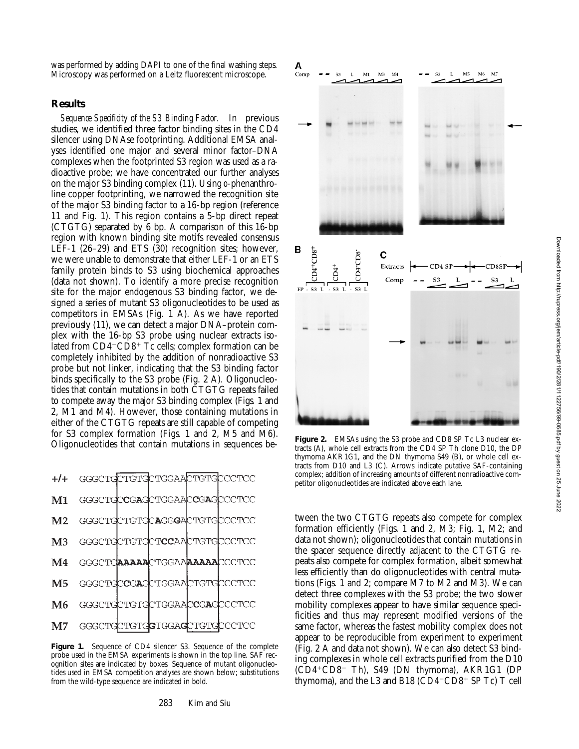was performed by adding DAPI to one of the final washing steps. Microscopy was performed on a Leitz fluorescent microscope.

#### **Results**

*Sequence Specificity of the S3 Binding Factor.* In previous studies, we identified three factor binding sites in the CD4 silencer using DNAse footprinting. Additional EMSA analyses identified one major and several minor factor–DNA complexes when the footprinted S3 region was used as a radioactive probe; we have concentrated our further analyses on the major S3 binding complex (11). Using *o*-phenanthroline copper footprinting, we narrowed the recognition site of the major S3 binding factor to a 16-bp region (reference 11 and Fig. 1). This region contains a 5-bp direct repeat (CTGTG) separated by 6 bp. A comparison of this 16-bp region with known binding site motifs revealed consensus LEF-1 (26–29) and ETS (30) recognition sites; however, we were unable to demonstrate that either LEF-1 or an ETS family protein binds to S3 using biochemical approaches (data not shown). To identify a more precise recognition site for the major endogenous S3 binding factor, we designed a series of mutant S3 oligonucleotides to be used as competitors in EMSAs (Fig. 1 A). As we have reported previously (11), we can detect a major DNA–protein complex with the 16-bp S3 probe using nuclear extracts isolated from  $CD4$ <sup> $-CD8$ <sup> $+$ </sup> Tc cells; complex formation can be</sup> completely inhibited by the addition of nonradioactive S3 probe but not linker, indicating that the S3 binding factor binds specifically to the S3 probe (Fig. 2 A). Oligonucleotides that contain mutations in both CTGTG repeats failed to compete away the major S3 binding complex (Figs. 1 and 2, M1 and M4). However, those containing mutations in either of the CTGTG repeats are still capable of competing for S3 complex formation (Figs. 1 and 2, M5 and M6). Oligonucleotides that contain mutations in sequences be-



**Figure 1.** Sequence of CD4 silencer S3. Sequence of the complete probe used in the EMSA experiments is shown in the top line. SAF recognition sites are indicated by boxes. Sequence of mutant oligonucleotides used in EMSA competition analyses are shown below; substitutions from the wild-type sequence are indicated in bold.



**Figure 2.** EMSAs using the S3 probe and CD8 SP Tc L3 nuclear extracts (A), whole cell extracts from the CD4 SP Th clone D10, the DP thymoma AKR1G1, and the DN thymoma S49 (B), or whole cell extracts from D10 and L3 (C). Arrows indicate putative SAF-containing complex; addition of increasing amounts of different nonradioactive competitor oligonucleotides are indicated above each lane.

tween the two CTGTG repeats also compete for complex formation efficiently (Figs. 1 and 2, M3; Fig. 1, M2; and data not shown); oligonucleotides that contain mutations in the spacer sequence directly adjacent to the CTGTG repeats also compete for complex formation, albeit somewhat less efficiently than do oligonucleotides with central mutations (Figs. 1 and 2; compare M7 to M2 and M3). We can detect three complexes with the S3 probe; the two slower mobility complexes appear to have similar sequence specificities and thus may represent modified versions of the same factor, whereas the fastest mobility complex does not appear to be reproducible from experiment to experiment (Fig. 2 A and data not shown). We can also detect S3 binding complexes in whole cell extracts purified from the D10  $(CD4+CD8$ <sup>-</sup> Th), S49 (DN thymoma), AKR1G1 (DP thymoma), and the L3 and B18  $(CD4-CD8+SPTc)T$  cell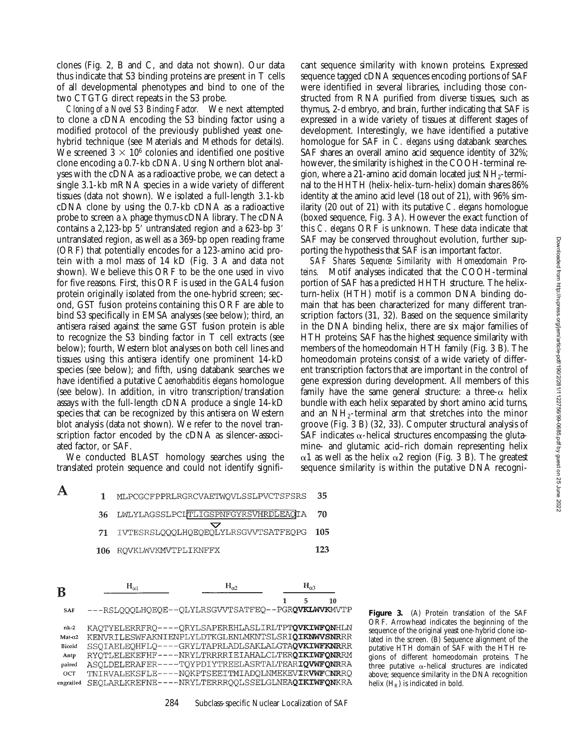clones (Fig. 2, B and C, and data not shown). Our data thus indicate that S3 binding proteins are present in T cells of all developmental phenotypes and bind to one of the two CTGTG direct repeats in the S3 probe.

*Cloning of a Novel S3 Binding Factor.* We next attempted to clone a cDNA encoding the S3 binding factor using a modified protocol of the previously published yeast onehybrid technique (see Materials and Methods for details). We screened  $3 \times 10^6$  colonies and identified one positive clone encoding a 0.7-kb cDNA. Using Northern blot analyses with the cDNA as a radioactive probe, we can detect a single 3.1-kb mRNA species in a wide variety of different tissues (data not shown). We isolated a full-length 3.1-kb cDNA clone by using the 0.7-kb cDNA as a radioactive probe to screen a  $\lambda$  phage thymus cDNA library. The cDNA contains a 2,123-bp  $5'$  untranslated region and a 623-bp  $3'$ untranslated region, as well as a 369-bp open reading frame (ORF) that potentially encodes for a 123-amino acid protein with a mol mass of 14 kD (Fig. 3 A and data not shown). We believe this ORF to be the one used in vivo for five reasons. First, this ORF is used in the GAL4 fusion protein originally isolated from the one-hybrid screen; second, GST fusion proteins containing this ORF are able to bind S3 specifically in EMSA analyses (see below); third, an antisera raised against the same GST fusion protein is able to recognize the S3 binding factor in T cell extracts (see below); fourth, Western blot analyses on both cell lines and tissues using this antisera identify one prominent 14-kD species (see below); and fifth, using databank searches we have identified a putative *Caenorhabditis elegans* homologue (see below). In addition, in vitro transcription/translation assays with the full-length cDNA produce a single 14-kD species that can be recognized by this antisera on Western blot analysis (data not shown). We refer to the novel transcription factor encoded by the cDNA as silencer-associated factor, or SAF.

We conducted BLAST homology searches using the translated protein sequence and could not identify signifi-

RQVKLWVKMVTPLIKNFFX

MLPCGCFPPRLRGRCVAETWOVLSSLPVCTSFSRS LWLYLAGSSLPCLTLIGSPNFGYRSVHRDLEAQIA

IVTESRSLQQQLHQEQEQLYLRSGVVTSATFEQPG

A

B

**SAF** 

 $nk-2$ 

 $Mat-\alpha2$ 

Bicoid

Antp

paired

OCT

engrailed

 $\mathbf{1}$ 

36

71

106

 $H_{\alpha 1}$ 

cant sequence similarity with known proteins. Expressed sequence tagged cDNA sequences encoding portions of SAF were identified in several libraries, including those constructed from RNA purified from diverse tissues, such as thymus, 2-d embryo, and brain, further indicating that SAF is expressed in a wide variety of tissues at different stages of development. Interestingly, we have identified a putative homologue for SAF in *C. elegans* using databank searches. SAF shares an overall amino acid sequence identity of 32%; however, the similarity is highest in the COOH-terminal region, where a 21-amino acid domain located just  $NH_{2}$ -terminal to the HHTH (helix-helix-turn-helix) domain shares 86% identity at the amino acid level (18 out of 21), with 96% similarity (20 out of 21) with its putative *C*. *elegans* homologue (boxed sequence, Fig. 3 A). However the exact function of this *C*. *elegans* ORF is unknown. These data indicate that SAF may be conserved throughout evolution, further supporting the hypothesis that SAF is an important factor.

*SAF Shares Sequence Similarity with Homeodomain Proteins.* Motif analyses indicated that the COOH-terminal portion of SAF has a predicted HHTH structure. The helixturn-helix (HTH) motif is a common DNA binding domain that has been characterized for many different transcription factors (31, 32). Based on the sequence similarity in the DNA binding helix, there are six major families of HTH proteins; SAF has the highest sequence similarity with members of the homeodomain HTH family (Fig. 3 B). The homeodomain proteins consist of a wide variety of different transcription factors that are important in the control of gene expression during development. All members of this family have the same general structure: a three- $\alpha$  helix bundle with each helix separated by short amino acid turns, and an  $NH_{2}$ -terminal arm that stretches into the minor groove (Fig. 3 B) (32, 33). Computer structural analysis of SAF indicates  $\alpha$ -helical structures encompassing the glutamine- and glutamic acid–rich domain representing helix  $\alpha$ 1 as well as the helix  $\alpha$ 2 region (Fig. 3 B). The greatest sequence similarity is within the putative DNA recogni-

| TNIRVALEKSFLE----NOKPTSEEITMIADOLNMEKEV <b>IRVWFCNR</b> RO |  |
|------------------------------------------------------------|--|
| SEOLARLKREFNE----NRYLTERRROOLSSELGLNEAOIKIWFONKRA          |  |
|                                                            |  |

 $H_{\alpha2}$ 

---RSLQQQLHQEQE--QLYLRSGVVTSATFEQ--PGRQVKLWVKMVTP

KAQTYELERRFRQ----QRYLSAPEREHLASLIRLTPTQVKIWFQNHLN

KENVRILESWFAKNIENPLYLDTKGLENLMKNTSLSRIQIKNWVSNRRR

SSQIAELEQHFLQ----GRYLTAPRLADLSAKLALGTAQVKIWFKNRRR

RYQTLELEKEFHF----NRYLTRRRRIEIAHALCLTERQIKIWFQNRRM

ASOLDELERAFER----TOYPDIYTREELASRTALTEARIQVWFQNRRA

284 Subclass-specific Nuclear Localization of SAF

35

70

105

123

10

 $H_{\alpha 3}$ 

5

1

**Figure 3.** (A) Protein translation of the SAF ORF. Arrowhead indicates the beginning of the sequence of the original yeast one-hybrid clone isolated in the screen. (B) Sequence alignment of the putative HTH domain of SAF with the HTH regions of different homeodomain proteins. The three putative  $\alpha$ -helical structures are indicated above; sequence similarity in the DNA recognition helix  $(H_R)$  is indicated in bold.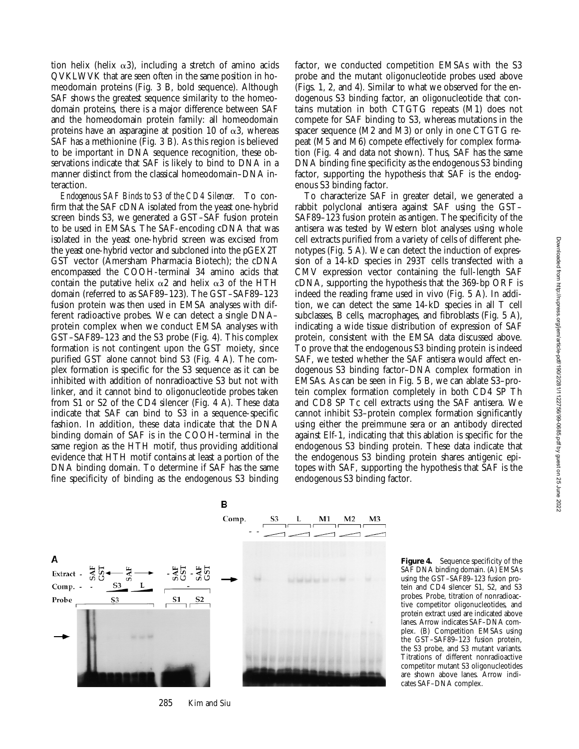tion helix (helix  $\alpha$ 3), including a stretch of amino acids QVKLWVK that are seen often in the same position in homeodomain proteins (Fig. 3 B, bold sequence). Although SAF shows the greatest sequence similarity to the homeodomain proteins, there is a major difference between SAF and the homeodomain protein family: all homeodomain proteins have an asparagine at position 10 of  $\alpha$ 3, whereas SAF has a methionine (Fig. 3 B). As this region is believed to be important in DNA sequence recognition, these observations indicate that SAF is likely to bind to DNA in a manner distinct from the classical homeodomain–DNA interaction.

*Endogenous SAF Binds to S3 of the CD4 Silencer.* To confirm that the SAF cDNA isolated from the yeast one-hybrid screen binds S3, we generated a GST–SAF fusion protein to be used in EMSAs. The SAF-encoding cDNA that was isolated in the yeast one-hybrid screen was excised from the yeast one-hybrid vector and subcloned into the pGEX2T GST vector (Amersham Pharmacia Biotech); the cDNA encompassed the COOH-terminal 34 amino acids that contain the putative helix  $\alpha$ 2 and helix  $\alpha$ 3 of the HTH domain (referred to as SAF89–123). The GST–SAF89–123 fusion protein was then used in EMSA analyses with different radioactive probes. We can detect a single DNA– protein complex when we conduct EMSA analyses with GST–SAF89–123 and the S3 probe (Fig. 4). This complex formation is not contingent upon the GST moiety, since purified GST alone cannot bind S3 (Fig. 4 A). The complex formation is specific for the S3 sequence as it can be inhibited with addition of nonradioactive S3 but not with linker, and it cannot bind to oligonucleotide probes taken from S1 or S2 of the CD4 silencer (Fig. 4 A). These data indicate that SAF can bind to S3 in a sequence-specific fashion. In addition, these data indicate that the DNA binding domain of SAF is in the COOH-terminal in the same region as the HTH motif, thus providing additional evidence that HTH motif contains at least a portion of the DNA binding domain. To determine if SAF has the same fine specificity of binding as the endogenous S3 binding

factor, we conducted competition EMSAs with the S3 probe and the mutant oligonucleotide probes used above (Figs. 1, 2, and 4). Similar to what we observed for the endogenous S3 binding factor, an oligonucleotide that contains mutation in both CTGTG repeats (M1) does not compete for SAF binding to S3, whereas mutations in the spacer sequence (M2 and M3) or only in one CTGTG repeat (M5 and M6) compete effectively for complex formation (Fig. 4 and data not shown). Thus, SAF has the same DNA binding fine specificity as the endogenous S3 binding factor, supporting the hypothesis that SAF is the endogenous S3 binding factor.

To characterize SAF in greater detail, we generated a rabbit polyclonal antisera against SAF using the GST– SAF89–123 fusion protein as antigen. The specificity of the antisera was tested by Western blot analyses using whole cell extracts purified from a variety of cells of different phenotypes (Fig. 5 A). We can detect the induction of expression of a 14-kD species in 293T cells transfected with a CMV expression vector containing the full-length SAF cDNA, supporting the hypothesis that the 369-bp ORF is indeed the reading frame used in vivo (Fig. 5 A). In addition, we can detect the same 14-kD species in all T cell subclasses, B cells, macrophages, and fibroblasts (Fig. 5 A), indicating a wide tissue distribution of expression of SAF protein, consistent with the EMSA data discussed above. To prove that the endogenous S3 binding protein is indeed SAF, we tested whether the SAF antisera would affect endogenous S3 binding factor–DNA complex formation in EMSAs. As can be seen in Fig. 5 B, we can ablate S3–protein complex formation completely in both CD4 SP Th and CD8 SP Tc cell extracts using the SAF antisera. We cannot inhibit S3–protein complex formation significantly using either the preimmune sera or an antibody directed against Elf-1, indicating that this ablation is specific for the endogenous S3 binding protein. These data indicate that the endogenous S3 binding protein shares antigenic epitopes with SAF, supporting the hypothesis that SAF is the endogenous S3 binding factor.



**Figure 4.** Sequence specificity of the SAF DNA binding domain. (A) EMSAs using the GST–SAF89–123 fusion protein and CD4 silencer S1, S2, and S3 probes. Probe, titration of nonradioactive competitor oligonucleotides, and protein extract used are indicated above lanes. Arrow indicates SAF–DNA complex. (B) Competition EMSAs using the GST–SAF89–123 fusion protein, the S3 probe, and S3 mutant variants. Titrations of different nonradioactive competitor mutant S3 oligonucleotides are shown above lanes. Arrow indicates SAF–DNA complex.

285 Kim and Siu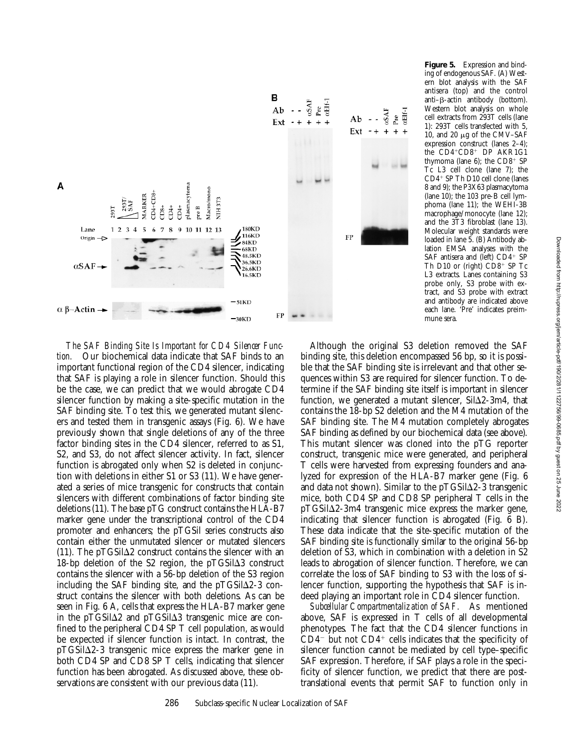

**Figure 5.** Expression and binding of endogenous SAF. (A) Western blot analysis with the SAF antisera (top) and the control  $anti–\beta$ -actin antibody (bottom). Western blot analysis on whole cell extracts from 293T cells (lane 1): 293T cells transfected with 5, 10, and 20  $\mu$ g of the CMV–SAF expression construct (lanes 2–4); the CD4+CD8+ DP AKR1G1 thymoma (lane  $6$ ); the CD8<sup>+</sup> SP Tc L3 cell clone (lane 7); the  $CD4$ <sup>+</sup> SP Th D10 cell clone (lanes 8 and 9); the P3X63 plasmacytoma (lane 10); the 103 pre-B cell lymphoma (lane 11); the WEHI-3B macrophage/monocyte (lane 12); and the 3T3 fibroblast (lane 13). Molecular weight standards were loaded in lane 5. (B) Antibody ablation EMSA analyses with the SAF antisera and (left)  $CD4+$  SP Th D10 or (right)  $CD8<sup>+</sup>$  SP Tc L3 extracts. Lanes containing S3 probe only, S3 probe with extract, and S3 probe with extract and antibody are indicated above each lane. 'Pre' indicates preimmune sera.

*The SAF Binding Site Is Important for CD4 Silencer Function.* Our biochemical data indicate that SAF binds to an important functional region of the CD4 silencer, indicating that SAF is playing a role in silencer function. Should this be the case, we can predict that we would abrogate CD4 silencer function by making a site-specific mutation in the SAF binding site. To test this, we generated mutant silencers and tested them in transgenic assays (Fig. 6). We have previously shown that single deletions of any of the three factor binding sites in the CD4 silencer, referred to as S1, S2, and S3, do not affect silencer activity. In fact, silencer function is abrogated only when S2 is deleted in conjunction with deletions in either S1 or S3 (11). We have generated a series of mice transgenic for constructs that contain silencers with different combinations of factor binding site deletions (11). The base pTG construct contains the HLA-B7 marker gene under the transcriptional control of the CD4 promoter and enhancers; the pTGSil series constructs also contain either the unmutated silencer or mutated silencers (11). The pTGSil $\Delta$ 2 construct contains the silencer with an 18-bp deletion of the S2 region, the  $pTGSi\Delta3$  construct contains the silencer with a 56-bp deletion of the S3 region including the SAF binding site, and the  $pTGSil\Delta2-3$  construct contains the silencer with both deletions. As can be seen in Fig. 6 A, cells that express the HLA-B7 marker gene in the pTGSil $\Delta$ 2 and pTGSil $\Delta$ 3 transgenic mice are confined to the peripheral CD4 SP T cell population, as would be expected if silencer function is intact. In contrast, the  $pTGSil\Delta2-3$  transgenic mice express the marker gene in both CD4 SP and CD8 SP T cells, indicating that silencer function has been abrogated. As discussed above, these observations are consistent with our previous data (11).

Although the original S3 deletion removed the SAF binding site, this deletion encompassed 56 bp, so it is possible that the SAF binding site is irrelevant and that other sequences within S3 are required for silencer function. To determine if the SAF binding site itself is important in silencer function, we generated a mutant silencer,  $SiI_{2-3m4}$ , that contains the 18-bp S2 deletion and the M4 mutation of the SAF binding site. The M4 mutation completely abrogates SAF binding as defined by our biochemical data (see above). This mutant silencer was cloned into the pTG reporter construct, transgenic mice were generated, and peripheral T cells were harvested from expressing founders and analyzed for expression of the HLA-B7 marker gene (Fig. 6 and data not shown). Similar to the  $pTGSi\Delta2-3$  transgenic mice, both CD4 SP and CD8 SP peripheral T cells in the  $pTGSil\Delta2-3m4$  transgenic mice express the marker gene, indicating that silencer function is abrogated (Fig. 6 B). These data indicate that the site-specific mutation of the SAF binding site is functionally similar to the original 56-bp deletion of S3, which in combination with a deletion in S2 leads to abrogation of silencer function. Therefore, we can correlate the loss of SAF binding to S3 with the loss of silencer function, supporting the hypothesis that SAF is indeed playing an important role in CD4 silencer function.

*Subcellular Compartmentalization of SAF.* As mentioned above, SAF is expressed in T cells of all developmental phenotypes. The fact that the CD4 silencer functions in  $CD4^-$  but not  $CD4^+$  cells indicates that the specificity of silencer function cannot be mediated by cell type–specific SAF expression. Therefore, if SAF plays a role in the specificity of silencer function, we predict that there are posttranslational events that permit SAF to function only in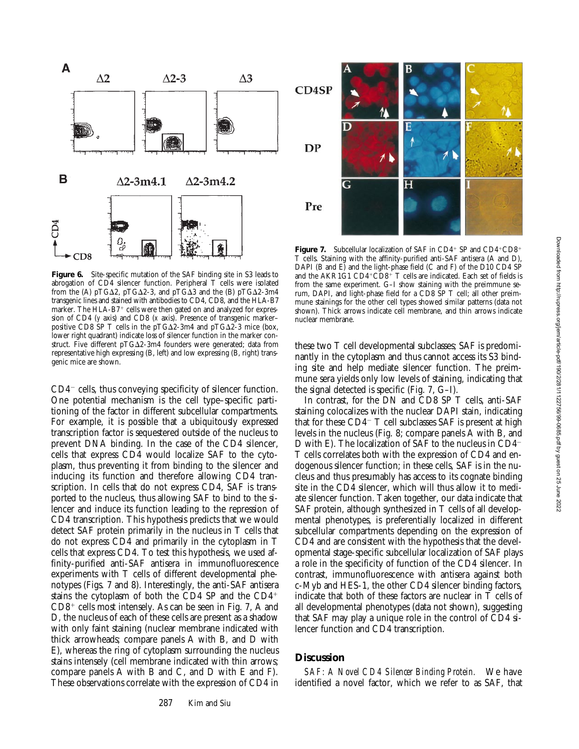

**Figure 6.** Site-specific mutation of the SAF binding site in S3 leads to abrogation of CD4 silencer function. Peripheral T cells were isolated from the (A) pTG $\Delta$ 2, pTG $\Delta$ 2-3, and pTG $\Delta$ 3 and the (B) pTG $\Delta$ 2-3m4 transgenic lines and stained with antibodies to CD4, CD8, and the HLA-B7 marker. The HLA-B7+ cells were then gated on and analyzed for expression of CD4 (*y* axis) and CD8 (*x* axis). Presence of transgenic marker– positive CD8 SP T cells in the pTG $\Delta$ 2-3m4 and pTG $\Delta$ 2-3 mice (box, lower right quadrant) indicate loss of silencer function in the marker construct. Five different  $pTG\Delta2-3m4$  founders were generated; data from representative high expressing (B, left) and low expressing (B, right) transgenic mice are shown.

 $CD4^-$  cells, thus conveying specificity of silencer function. One potential mechanism is the cell type–specific partitioning of the factor in different subcellular compartments. For example, it is possible that a ubiquitously expressed transcription factor is sequestered outside of the nucleus to prevent DNA binding. In the case of the CD4 silencer, cells that express CD4 would localize SAF to the cytoplasm, thus preventing it from binding to the silencer and inducing its function and therefore allowing CD4 transcription. In cells that do not express CD4, SAF is transported to the nucleus, thus allowing SAF to bind to the silencer and induce its function leading to the repression of CD4 transcription. This hypothesis predicts that we would detect SAF protein primarily in the nucleus in T cells that do not express CD4 and primarily in the cytoplasm in T cells that express CD4. To test this hypothesis, we used affinity-purified anti-SAF antisera in immunofluorescence experiments with T cells of different developmental phenotypes (Figs. 7 and 8). Interestingly, the anti-SAF antisera stains the cytoplasm of both the CD4 SP and the  $CD4$ <sup>+</sup>  $CD8<sup>+</sup>$  cells most intensely. As can be seen in Fig. 7, A and D, the nucleus of each of these cells are present as a shadow with only faint staining (nuclear membrane indicated with thick arrowheads; compare panels A with B, and D with E), whereas the ring of cytoplasm surrounding the nucleus stains intensely (cell membrane indicated with thin arrows; compare panels A with B and C, and D with E and F). These observations correlate with the expression of CD4 in



**Figure 7.** Subcellular localization of SAF in CD4+ SP and CD4+CD8+ T cells. Staining with the affinity-purified anti-SAF antisera (A and D), DAPI (B and E) and the light-phase field (C and F) of the D10 CD4 SP and the AKR1G1 CD4+CD8+ T cells are indicated. Each set of fields is from the same experiment. G–I show staining with the preimmune serum, DAPI, and light-phase field for a CD8 SP T cell; all other preimmune stainings for the other cell types showed similar patterns (data not shown). Thick arrows indicate cell membrane, and thin arrows indicate nuclear membrane.

these two T cell developmental subclasses; SAF is predominantly in the cytoplasm and thus cannot access its S3 binding site and help mediate silencer function. The preimmune sera yields only low levels of staining, indicating that the signal detected is specific (Fig. 7, G–I).

In contrast, for the DN and CD8 SP T cells, anti-SAF staining colocalizes with the nuclear DAPI stain, indicating that for these  $CD4$ <sup>-</sup> T cell subclasses SAF is present at high levels in the nucleus (Fig. 8; compare panels A with B, and D with E). The localization of SAF to the nucleus in  $CD4<sup>-</sup>$ T cells correlates both with the expression of CD4 and endogenous silencer function; in these cells, SAF is in the nucleus and thus presumably has access to its cognate binding site in the CD4 silencer, which will thus allow it to mediate silencer function. Taken together, our data indicate that SAF protein, although synthesized in T cells of all developmental phenotypes, is preferentially localized in different subcellular compartments depending on the expression of CD4 and are consistent with the hypothesis that the developmental stage-specific subcellular localization of SAF plays a role in the specificity of function of the CD4 silencer. In contrast, immunofluorescence with antisera against both c-Myb and HES-1, the other CD4 silencer binding factors, indicate that both of these factors are nuclear in T cells of all developmental phenotypes (data not shown), suggesting that SAF may play a unique role in the control of CD4 silencer function and CD4 transcription.

# **Discussion**

*SAF: A Novel CD4 Silencer Binding Protein.* We have identified a novel factor, which we refer to as SAF, that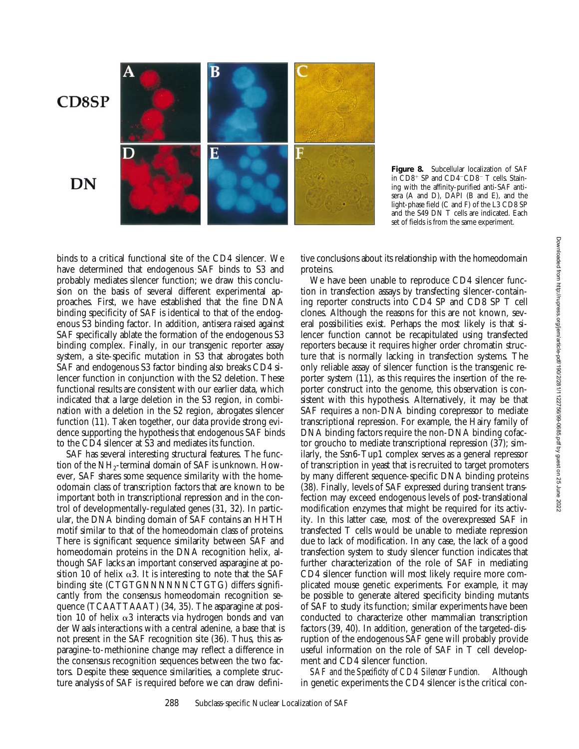

**Figure 8.** Subcellular localization of SAF in  $CD8$ <sup>+</sup> SP and  $CD4$ <sup>-</sup> $CD8$ <sup>-</sup> T cells. Staining with the affinity-purified anti-SAF antisera (A and D), DAPI (B and E), and the light-phase field (C and F) of the L3 CD8 SP and the S49 DN T cells are indicated. Each set of fields is from the same experiment.

binds to a critical functional site of the CD4 silencer. We have determined that endogenous SAF binds to S3 and probably mediates silencer function; we draw this conclusion on the basis of several different experimental approaches. First, we have established that the fine DNA binding specificity of SAF is identical to that of the endogenous S3 binding factor. In addition, antisera raised against SAF specifically ablate the formation of the endogenous S3 binding complex. Finally, in our transgenic reporter assay system, a site-specific mutation in S3 that abrogates both SAF and endogenous S3 factor binding also breaks CD4 silencer function in conjunction with the S2 deletion. These functional results are consistent with our earlier data, which indicated that a large deletion in the S3 region, in combination with a deletion in the S2 region, abrogates silencer function (11). Taken together, our data provide strong evidence supporting the hypothesis that endogenous SAF binds to the CD4 silencer at S3 and mediates its function.

SAF has several interesting structural features. The function of the  $NH<sub>2</sub>$ -terminal domain of SAF is unknown. However, SAF shares some sequence similarity with the homeodomain class of transcription factors that are known to be important both in transcriptional repression and in the control of developmentally-regulated genes (31, 32). In particular, the DNA binding domain of SAF contains an HHTH motif similar to that of the homeodomain class of proteins. There is significant sequence similarity between SAF and homeodomain proteins in the DNA recognition helix, although SAF lacks an important conserved asparagine at position 10 of helix  $\alpha$ 3. It is interesting to note that the SAF binding site (CTGTGNNNNNNCTGTG) differs significantly from the consensus homeodomain recognition sequence (TCAATTAAAT) (34, 35). The asparagine at position 10 of helix  $\alpha$ 3 interacts via hydrogen bonds and van der Waals interactions with a central adenine, a base that is not present in the SAF recognition site (36). Thus, this asparagine-to-methionine change may reflect a difference in the consensus recognition sequences between the two factors. Despite these sequence similarities, a complete structure analysis of SAF is required before we can draw definitive conclusions about its relationship with the homeodomain proteins.

We have been unable to reproduce CD4 silencer function in transfection assays by transfecting silencer-containing reporter constructs into CD4 SP and CD8 SP T cell clones. Although the reasons for this are not known, several possibilities exist. Perhaps the most likely is that silencer function cannot be recapitulated using transfected reporters because it requires higher order chromatin structure that is normally lacking in transfection systems. The only reliable assay of silencer function is the transgenic reporter system (11), as this requires the insertion of the reporter construct into the genome, this observation is consistent with this hypothesis. Alternatively, it may be that SAF requires a non-DNA binding corepressor to mediate transcriptional repression. For example, the Hairy family of DNA binding factors require the non-DNA binding cofactor groucho to mediate transcriptional repression (37); similarly, the Ssn6-Tup1 complex serves as a general repressor of transcription in yeast that is recruited to target promoters by many different sequence-specific DNA binding proteins (38). Finally, levels of SAF expressed during transient transfection may exceed endogenous levels of post-translational modification enzymes that might be required for its activity. In this latter case, most of the overexpressed SAF in transfected T cells would be unable to mediate repression due to lack of modification. In any case, the lack of a good transfection system to study silencer function indicates that further characterization of the role of SAF in mediating CD4 silencer function will most likely require more complicated mouse genetic experiments. For example, it may be possible to generate altered specificity binding mutants of SAF to study its function; similar experiments have been conducted to characterize other mammalian transcription factors (39, 40). In addition, generation of the targeted-disruption of the endogenous SAF gene will probably provide useful information on the role of SAF in T cell development and CD4 silencer function.

*SAF and the Specificity of CD4 Silencer Function.* Although in genetic experiments the CD4 silencer is the critical con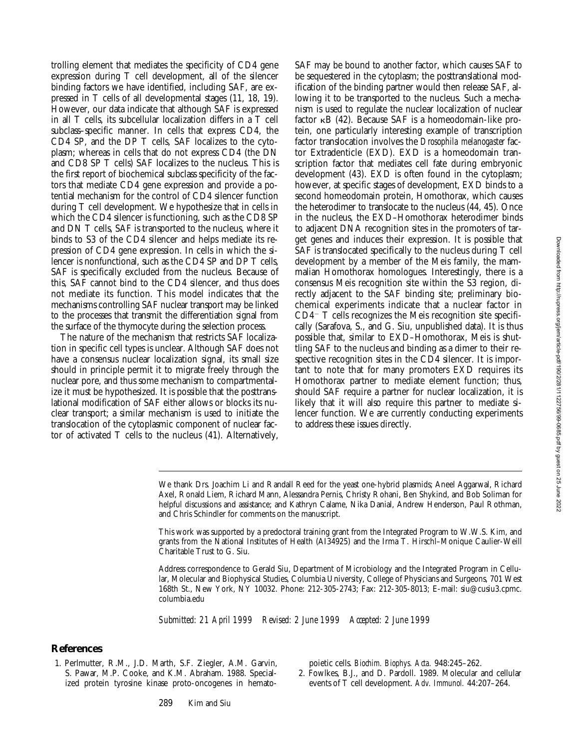trolling element that mediates the specificity of CD4 gene expression during T cell development, all of the silencer binding factors we have identified, including SAF, are expressed in T cells of all developmental stages (11, 18, 19). However, our data indicate that although SAF is expressed in all T cells, its subcellular localization differs in a T cell subclass–specific manner. In cells that express CD4, the CD4 SP, and the DP T cells, SAF localizes to the cytoplasm; whereas in cells that do not express CD4 (the DN and CD8 SP T cells) SAF localizes to the nucleus. This is the first report of biochemical subclass specificity of the factors that mediate CD4 gene expression and provide a potential mechanism for the control of CD4 silencer function during T cell development. We hypothesize that in cells in which the CD4 silencer is functioning, such as the CD8 SP and DN T cells, SAF is transported to the nucleus, where it binds to S3 of the CD4 silencer and helps mediate its repression of CD4 gene expression. In cells in which the silencer is nonfunctional, such as the CD4 SP and DP T cells, SAF is specifically excluded from the nucleus. Because of this, SAF cannot bind to the CD4 silencer, and thus does not mediate its function. This model indicates that the mechanisms controlling SAF nuclear transport may be linked to the processes that transmit the differentiation signal from the surface of the thymocyte during the selection process.

The nature of the mechanism that restricts SAF localization in specific cell types is unclear. Although SAF does not have a consensus nuclear localization signal, its small size should in principle permit it to migrate freely through the nuclear pore, and thus some mechanism to compartmentalize it must be hypothesized. It is possible that the posttranslational modification of SAF either allows or blocks its nuclear transport; a similar mechanism is used to initiate the translocation of the cytoplasmic component of nuclear factor of activated T cells to the nucleus (41). Alternatively,

SAF may be bound to another factor, which causes SAF to be sequestered in the cytoplasm; the posttranslational modification of the binding partner would then release SAF, allowing it to be transported to the nucleus. Such a mechanism is used to regulate the nuclear localization of nuclear factor  $\kappa$ B (42). Because SAF is a homeodomain-like protein, one particularly interesting example of transcription factor translocation involves the *Drosophila melanogaster* factor Extradenticle (EXD). EXD is a homeodomain transcription factor that mediates cell fate during embryonic development (43). EXD is often found in the cytoplasm; however, at specific stages of development, EXD binds to a second homeodomain protein, Homothorax, which causes the heterodimer to translocate to the nucleus (44, 45). Once in the nucleus, the EXD–Homothorax heterodimer binds to adjacent DNA recognition sites in the promoters of target genes and induces their expression. It is possible that SAF is translocated specifically to the nucleus during T cell development by a member of the Meis family, the mammalian Homothorax homologues. Interestingly, there is a consensus Meis recognition site within the S3 region, directly adjacent to the SAF binding site; preliminary biochemical experiments indicate that a nuclear factor in  $CD4<sup>-</sup>$  T cells recognizes the Meis recognition site specifically (Sarafova, S., and G. Siu, unpublished data). It is thus possible that, similar to EXD–Homothorax, Meis is shuttling SAF to the nucleus and binding as a dimer to their respective recognition sites in the CD4 silencer. It is important to note that for many promoters EXD requires its Homothorax partner to mediate element function; thus, should SAF require a partner for nuclear localization, it is likely that it will also require this partner to mediate silencer function. We are currently conducting experiments to address these issues directly.

We thank Drs. Joachim Li and Randall Reed for the yeast one-hybrid plasmids; Aneel Aggarwal, Richard Axel, Ronald Liem, Richard Mann, Alessandra Pernis, Christy Rohani, Ben Shykind, and Bob Soliman for helpful discussions and assistance; and Kathryn Calame, Nika Danial, Andrew Henderson, Paul Rothman, and Chris Schindler for comments on the manuscript.

This work was supported by a predoctoral training grant from the Integrated Program to W.W.S. Kim, and grants from the National Institutes of Health (AI34925) and the Irma T. Hirschl–Monique Caulier-Weill Charitable Trust to G. Siu.

Address correspondence to Gerald Siu, Department of Microbiology and the Integrated Program in Cellular, Molecular and Biophysical Studies, Columbia University, College of Physicians and Surgeons, 701 West 168th St., New York, NY 10032. Phone: 212-305-2743; Fax: 212-305-8013; E-mail: siu@cusiu3.cpmc. columbia.edu

*Submitted: 21 April 1999 Revised: 2 June 1999 Accepted: 2 June 1999*

## **References**

1. Perlmutter, R.M., J.D. Marth, S.F. Ziegler, A.M. Garvin, S. Pawar, M.P. Cooke, and K.M. Abraham. 1988. Specialized protein tyrosine kinase proto-oncogenes in hematopoietic cells. *Biochim. Biophys. Acta.* 948:245–262.

2. Fowlkes, B.J., and D. Pardoll. 1989. Molecular and cellular events of T cell development. *Adv. Immunol.* 44:207–264.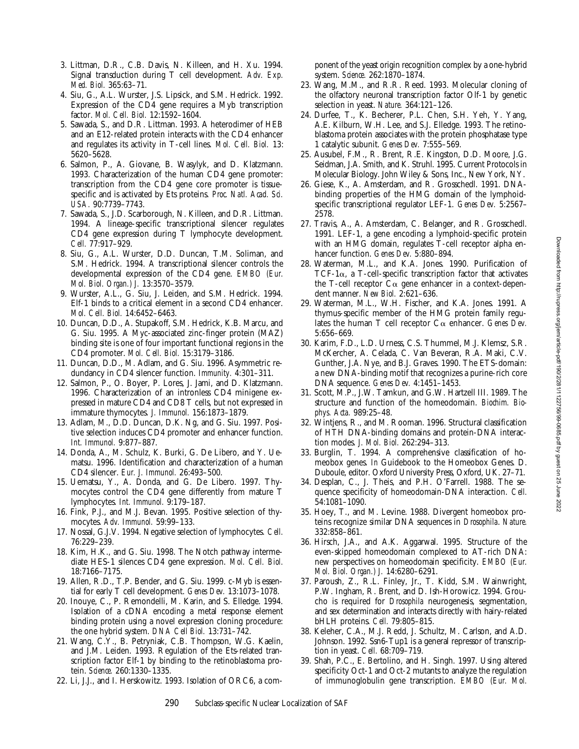Downloaded from http://rupress.org/jem/article-pdf/190/2/281/1122756/99-0685.pdf by guest on 25 June 2022 Downloaded from http://rupress.org/jem/article-pdf/190/2/281/1122756/99-0685.pdf by guest on 25 June 2022

- 3. Littman, D.R., C.B. Davis, N. Killeen, and H. Xu. 1994. Signal transduction during T cell development. *Adv. Exp. Med. Biol.* 365:63–71.
- 4. Siu, G., A.L. Wurster, J.S. Lipsick, and S.M. Hedrick. 1992. Expression of the CD4 gene requires a Myb transcription factor. *Mol. Cell. Biol.* 12:1592–1604.
- 5. Sawada, S., and D.R. Littman. 1993. A heterodimer of HEB and an E12-related protein interacts with the CD4 enhancer and regulates its activity in T-cell lines. *Mol. Cell. Biol.* 13: 5620–5628.
- 6. Salmon, P., A. Giovane, B. Wasylyk, and D. Klatzmann. 1993. Characterization of the human CD4 gene promoter: transcription from the CD4 gene core promoter is tissuespecific and is activated by Ets proteins. *Proc. Natl. Acad. Sci. USA.* 90:7739–7743.
- 7. Sawada, S., J.D. Scarborough, N. Killeen, and D.R. Littman. 1994. A lineage-specific transcriptional silencer regulates CD4 gene expression during T lymphocyte development. *Cell.* 77:917–929.
- 8. Siu, G., A.L. Wurster, D.D. Duncan, T.M. Soliman, and S.M. Hedrick. 1994. A transcriptional silencer controls the developmental expression of the CD4 gene. *EMBO (Eur. Mol. Biol. Organ.) J.* 13:3570–3579.
- 9. Wurster, A.L., G. Siu, J. Leiden, and S.M. Hedrick. 1994. Elf-1 binds to a critical element in a second CD4 enhancer. *Mol. Cell. Biol.* 14:6452–6463.
- 10. Duncan, D.D., A. Stupakoff, S.M. Hedrick, K.B. Marcu, and G. Siu. 1995. A Myc-associated zinc-finger protein (MAZ) binding site is one of four important functional regions in the CD4 promoter. *Mol. Cell. Biol.* 15:3179–3186.
- 11. Duncan, D.D., M. Adlam, and G. Siu. 1996. Asymmetric redundancy in CD4 silencer function. *Immunity.* 4:301–311.
- 12. Salmon, P., O. Boyer, P. Lores, J. Jami, and D. Klatzmann. 1996. Characterization of an intronless CD4 minigene expressed in mature CD4 and CD8 T cells, but not expressed in immature thymocytes. *J. Immunol.* 156:1873–1879.
- 13. Adlam, M., D.D. Duncan, D.K. Ng, and G. Siu. 1997. Positive selection induces CD4 promoter and enhancer function. *Int. Immunol.* 9:877–887.
- 14. Donda, A., M. Schulz, K. Burki, G. De Libero, and Y. Uematsu. 1996. Identification and characterization of a human CD4 silencer. *Eur. J. Immunol.* 26:493–500.
- 15. Uematsu, Y., A. Donda, and G. De Libero. 1997. Thymocytes control the CD4 gene differently from mature T lymphocytes. *Int. Immunol.* 9:179–187.
- 16. Fink, P.J., and M.J. Bevan. 1995. Positive selection of thymocytes. *Adv. Immunol.* 59:99–133.
- 17. Nossal, G.J.V. 1994. Negative selection of lymphocytes. *Cell.* 76:229–239.
- 18. Kim, H.K., and G. Siu. 1998. The Notch pathway intermediate HES-1 silences CD4 gene expression. *Mol. Cell. Biol.* 18:7166–7175.
- 19. Allen, R.D., T.P. Bender, and G. Siu. 1999. c-Myb is essential for early T cell development. *Genes Dev.* 13:1073–1078.
- 20. Inouye, C., P. Remondelli, M. Karin, and S. Elledge. 1994. Isolation of a cDNA encoding a metal response element binding protein using a novel expression cloning procedure: the one hybrid system. *DNA Cell Biol.* 13:731–742.
- 21. Wang, C.Y., B. Petryniak, C.B. Thompson, W.G. Kaelin, and J.M. Leiden. 1993. Regulation of the Ets-related transcription factor Elf-1 by binding to the retinoblastoma protein. *Science.* 260:1330–1335.
- 22. Li, J.J., and I. Herskowitz. 1993. Isolation of ORC6, a com-

ponent of the yeast origin recognition complex by a one-hybrid system. *Science.* 262:1870–1874.

- 23. Wang, M.M., and R.R. Reed. 1993. Molecular cloning of the olfactory neuronal transcription factor Olf-1 by genetic selection in yeast. *Nature.* 364:121–126.
- 24. Durfee, T., K. Becherer, P.L. Chen, S.H. Yeh, Y. Yang, A.E. Kilburn, W.H. Lee, and S.J. Elledge. 1993. The retinoblastoma protein associates with the protein phosphatase type 1 catalytic subunit. *Genes Dev.* 7:555–569.
- 25. Ausubel, F.M., R. Brent, R.E. Kingston, D.D. Moore, J.G. Seidman, J.A. Smith, and K. Struhl. 1995. Current Protocols in Molecular Biology. John Wiley & Sons, Inc., New York, NY.
- 26. Giese, K., A. Amsterdam, and R. Grosschedl. 1991. DNAbinding properties of the HMG domain of the lymphoidspecific transcriptional regulator LEF-1. *Genes Dev.* 5:2567– 2578.
- 27. Travis, A., A. Amsterdam, C. Belanger, and R. Grosschedl. 1991. LEF-1, a gene encoding a lymphoid-specific protein with an HMG domain, regulates T-cell receptor alpha enhancer function. *Genes Dev.* 5:880–894.
- 28. Waterman, M.L., and K.A. Jones. 1990. Purification of TCF-1 $\alpha$ , a T-cell-specific transcription factor that activates the T-cell receptor  $C\alpha$  gene enhancer in a context-dependent manner. *New Biol.* 2:621–636.
- 29. Waterman, M.L., W.H. Fischer, and K.A. Jones. 1991. A thymus-specific member of the HMG protein family regulates the human T cell receptor  $C_{\alpha}$  enhancer. *Genes Dev.* 5:656–669.
- 30. Karim, F.D., L.D. Urness, C.S. Thummel, M.J. Klemsz, S.R. McKercher, A. Celada, C. Van Beveran, R.A. Maki, C.V. Gunther, J.A. Nye, and B.J. Graves. 1990. The ETS-domain: a new DNA-binding motif that recognizes a purine-rich core DNA sequence. *Genes Dev.* 4:1451–1453.
- 31. Scott, M.P., J.W. Tamkun, and G.W. Hartzell III. 1989. The structure and function of the homeodomain. *Biochim. Biophys. Acta.* 989:25–48.
- 32. Wintjens, R., and M. Rooman. 1996. Structural classification of HTH DNA-binding domains and protein-DNA interaction modes. *J. Mol. Biol.* 262:294–313.
- 33. Burglin, T. 1994. A comprehensive classification of homeobox genes. *In* Guidebook to the Homeobox Genes. D. Duboule, editor. Oxford University Press, Oxford, UK. 27–71.
- 34. Desplan, C., J. Theis, and P.H. O'Farrell. 1988. The sequence specificity of homeodomain-DNA interaction. *Cell.* 54:1081–1090.
- 35. Hoey, T., and M. Levine. 1988. Divergent homeobox proteins recognize similar DNA sequences in *Drosophila*. *Nature.* 332:858–861.
- 36. Hirsch, J.A., and A.K. Aggarwal. 1995. Structure of the even-skipped homeodomain complexed to AT-rich DNA: new perspectives on homeodomain specificity. *EMBO (Eur. Mol. Biol. Organ.) J.* 14:6280–6291.
- 37. Paroush, Z., R.L. Finley, Jr., T. Kidd, S.M. Wainwright, P.W. Ingham, R. Brent, and D. Ish-Horowicz. 1994. Groucho is required for *Drosophila* neurogenesis, segmentation, and sex determination and interacts directly with hairy-related bHLH proteins. *Cell.* 79:805–815.
- 38. Keleher, C.A., M.J. Redd, J. Schultz, M. Carlson, and A.D. Johnson. 1992. Ssn6-Tup1 is a general repressor of transcription in yeast. *Cell.* 68:709–719.
- 39. Shah, P.C., E. Bertolino, and H. Singh. 1997. Using altered specificity Oct-1 and Oct-2 mutants to analyze the regulation of immunoglobulin gene transcription. *EMBO (Eur. Mol.*